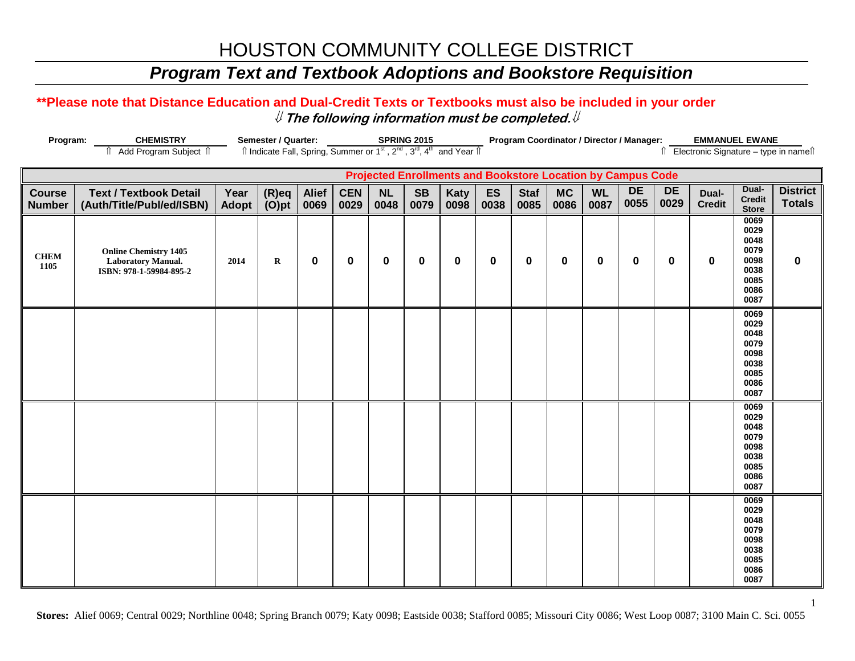## *Program Text and Textbook Adoptions and Bookstore Requisition*

### **\*\*Please note that Distance Education and Dual-Credit Texts or Textbooks must also be included in your order** ⇓ **The following information must be completed.**⇓

| Program:                       | <b>CHEMISTRY</b>                                                                     |               | Semester / Quarter:                                                                                                                                 |                      |                    |                   | <b>SPRING 2015</b> |                     |            |                     | Program Coordinator / Director / Manager:                   |                   |                   |                   | <b>EMMANUEL EWANE</b>  |                                                                      |                                       |
|--------------------------------|--------------------------------------------------------------------------------------|---------------|-----------------------------------------------------------------------------------------------------------------------------------------------------|----------------------|--------------------|-------------------|--------------------|---------------------|------------|---------------------|-------------------------------------------------------------|-------------------|-------------------|-------------------|------------------------|----------------------------------------------------------------------|---------------------------------------|
|                                | î Add Program Subject î                                                              |               | $\hat{\parallel}$ Indicate Fall, Spring, Summer or 1 <sup>st</sup> , 2 <sup>nd</sup> , 3 <sup>rd</sup> , 4 <sup>th</sup> and Year $\hat{\parallel}$ |                      |                    |                   |                    |                     |            |                     |                                                             |                   |                   |                   |                        |                                                                      | ↑ Electronic Signature - type in name |
|                                |                                                                                      |               |                                                                                                                                                     |                      |                    |                   |                    |                     |            |                     | Projected Enrollments and Bookstore Location by Campus Code |                   |                   |                   |                        |                                                                      |                                       |
| <b>Course</b><br><b>Number</b> | <b>Text / Textbook Detail</b><br>(Auth/Title/Publ/ed/ISBN)                           | Year<br>Adopt | $(R)$ eq<br>$(O)$ pt                                                                                                                                | <b>Alief</b><br>0069 | <b>CEN</b><br>0029 | <b>NL</b><br>0048 | <b>SB</b><br>0079  | <b>Katy</b><br>0098 | ES<br>0038 | <b>Staf</b><br>0085 | <b>MC</b><br>0086                                           | <b>WL</b><br>0087 | <b>DE</b><br>0055 | <b>DE</b><br>0029 | Dual-<br><b>Credit</b> | Dual-<br><b>Credit</b><br><b>Store</b>                               | <b>District</b><br><b>Totals</b>      |
| <b>CHEM</b><br>1105            | <b>Online Chemistry 1405</b><br><b>Laboratory Manual.</b><br>ISBN: 978-1-59984-895-2 | 2014          | $\mathbf R$                                                                                                                                         | $\mathbf 0$          | $\mathbf 0$        | 0                 | $\bf{0}$           | $\mathbf 0$         | $\bf{0}$   | 0                   | $\mathbf 0$                                                 | 0                 | $\bf{0}$          | 0                 | 0                      | 0069<br>0029<br>0048<br>0079<br>0098<br>0038<br>0085<br>0086<br>0087 | $\mathbf 0$                           |
|                                |                                                                                      |               |                                                                                                                                                     |                      |                    |                   |                    |                     |            |                     |                                                             |                   |                   |                   |                        | 0069<br>0029<br>0048<br>0079<br>0098<br>0038<br>0085<br>0086<br>0087 |                                       |
|                                |                                                                                      |               |                                                                                                                                                     |                      |                    |                   |                    |                     |            |                     |                                                             |                   |                   |                   |                        | 0069<br>0029<br>0048<br>0079<br>0098<br>0038<br>0085<br>0086<br>0087 |                                       |
|                                |                                                                                      |               |                                                                                                                                                     |                      |                    |                   |                    |                     |            |                     |                                                             |                   |                   |                   |                        | 0069<br>0029<br>0048<br>0079<br>0098<br>0038<br>0085<br>0086<br>0087 |                                       |

**Stores:** Alief 0069; Central 0029; Northline 0048; Spring Branch 0079; Katy 0098; Eastside 0038; Stafford 0085; Missouri City 0086; West Loop 0087; 3100 Main C. Sci. 0055

1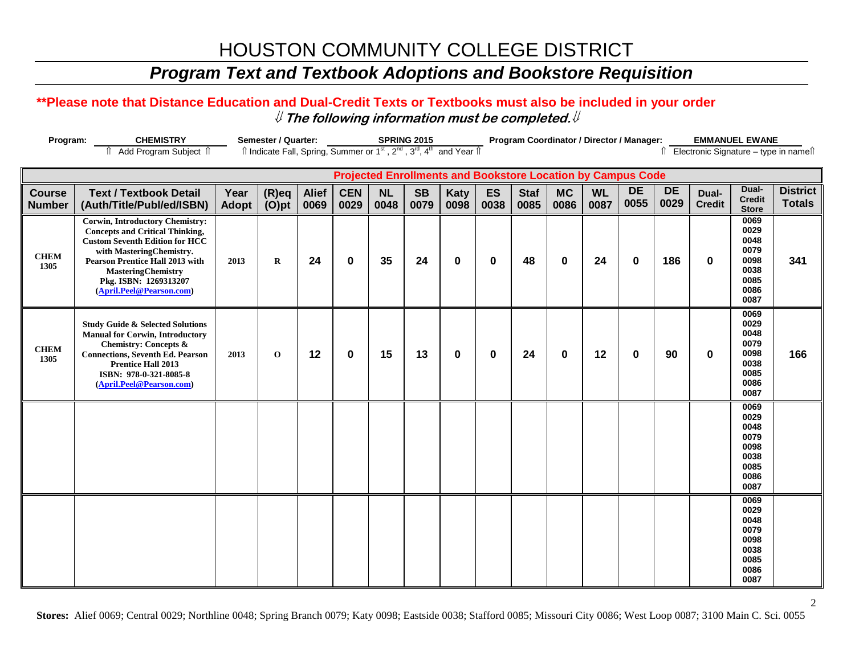## *Program Text and Textbook Adoptions and Bookstore Requisition*

### **\*\*Please note that Distance Education and Dual-Credit Texts or Textbooks must also be included in your order** ⇓ **The following information must be completed.**⇓

| <b>CHEMISTRY</b><br>Program:   |                                                                                                                                                                                                                                                                                   |                      | <b>Semester / Quarter:</b> |                      | <b>SPRING 2015</b><br>$\hat{I}$ Indicate Fall, Spring, Summer or 1 <sup>st</sup> , 2 <sup>nd</sup> , 3 <sup>rd</sup> , 4 <sup>th</sup> and Year $\hat{I}$ |                   |                   |              | Program Coordinator / Director / Manager: |                     |                   |                   |                                                                    |                   |                        | <b>EMMANUEL EWANE</b>                                                             |                                          |
|--------------------------------|-----------------------------------------------------------------------------------------------------------------------------------------------------------------------------------------------------------------------------------------------------------------------------------|----------------------|----------------------------|----------------------|-----------------------------------------------------------------------------------------------------------------------------------------------------------|-------------------|-------------------|--------------|-------------------------------------------|---------------------|-------------------|-------------------|--------------------------------------------------------------------|-------------------|------------------------|-----------------------------------------------------------------------------------|------------------------------------------|
| f Add Program Subject f        |                                                                                                                                                                                                                                                                                   |                      |                            |                      |                                                                                                                                                           |                   |                   |              |                                           |                     |                   |                   |                                                                    |                   |                        |                                                                                   | Î Electronic Signature – type in nameî Î |
|                                |                                                                                                                                                                                                                                                                                   |                      |                            |                      |                                                                                                                                                           |                   |                   |              |                                           |                     |                   |                   | <b>Projected Enrollments and Bookstore Location by Campus Code</b> |                   |                        |                                                                                   |                                          |
| <b>Course</b><br><b>Number</b> | <b>Text / Textbook Detail</b><br>(Auth/Title/Publ/ed/ISBN)                                                                                                                                                                                                                        | Year<br><b>Adopt</b> | $(R)$ eq<br>$(O)$ pt       | <b>Alief</b><br>0069 | <b>CEN</b><br>0029                                                                                                                                        | <b>NL</b><br>0048 | <b>SB</b><br>0079 | Katy<br>0098 | ES<br>0038                                | <b>Staf</b><br>0085 | <b>MC</b><br>0086 | <b>WL</b><br>0087 | <b>DE</b><br>0055                                                  | <b>DE</b><br>0029 | Dual-<br><b>Credit</b> | Dual-<br><b>Credit</b><br><b>Store</b>                                            | <b>District</b><br><b>Totals</b>         |
| <b>CHEM</b><br>1305            | <b>Corwin, Introductory Chemistry:</b><br><b>Concepts and Critical Thinking,</b><br><b>Custom Seventh Edition for HCC</b><br>with MasteringChemistry.<br><b>Pearson Prentice Hall 2013 with</b><br><b>MasteringChemistry</b><br>Pkg. ISBN: 1269313207<br>(April.Peel@Pearson.com) | 2013                 | $\mathbf R$                | 24                   | $\mathbf 0$                                                                                                                                               | 35                | 24                | $\mathbf 0$  | $\bf{0}$                                  | 48                  | $\mathbf 0$       | 24                | $\bf{0}$                                                           | 186               | 0                      | 0069<br>0029<br>0048<br>0079<br>0098<br>0038<br>0085<br>0086<br>0087              | 341                                      |
| <b>CHEM</b><br>1305            | <b>Study Guide &amp; Selected Solutions</b><br><b>Manual for Corwin, Introductory</b><br>Chemistry: Concepts &<br><b>Connections, Seventh Ed. Pearson</b><br><b>Prentice Hall 2013</b><br>ISBN: 978-0-321-8085-8<br>(April.Peel@Pearson.com)                                      | 2013                 | $\mathbf 0$                | 12                   | $\mathbf 0$                                                                                                                                               | 15                | 13                | $\mathbf 0$  | 0                                         | 24                  | $\mathbf 0$       | 12                | $\bf{0}$                                                           | 90                | 0                      | 0069<br>0029<br>0048<br>0079<br>0098<br>0038<br>0085<br>0086<br>0087              | 166                                      |
|                                |                                                                                                                                                                                                                                                                                   |                      |                            |                      |                                                                                                                                                           |                   |                   |              |                                           |                     |                   |                   |                                                                    |                   |                        | 0069<br>0029<br>0048<br>0079<br>0098<br>0038<br>0085<br>0086<br>0087              |                                          |
|                                |                                                                                                                                                                                                                                                                                   |                      |                            |                      |                                                                                                                                                           |                   |                   |              |                                           |                     |                   |                   |                                                                    |                   |                        | $\overline{0069}$<br>0029<br>0048<br>0079<br>0098<br>0038<br>0085<br>0086<br>0087 |                                          |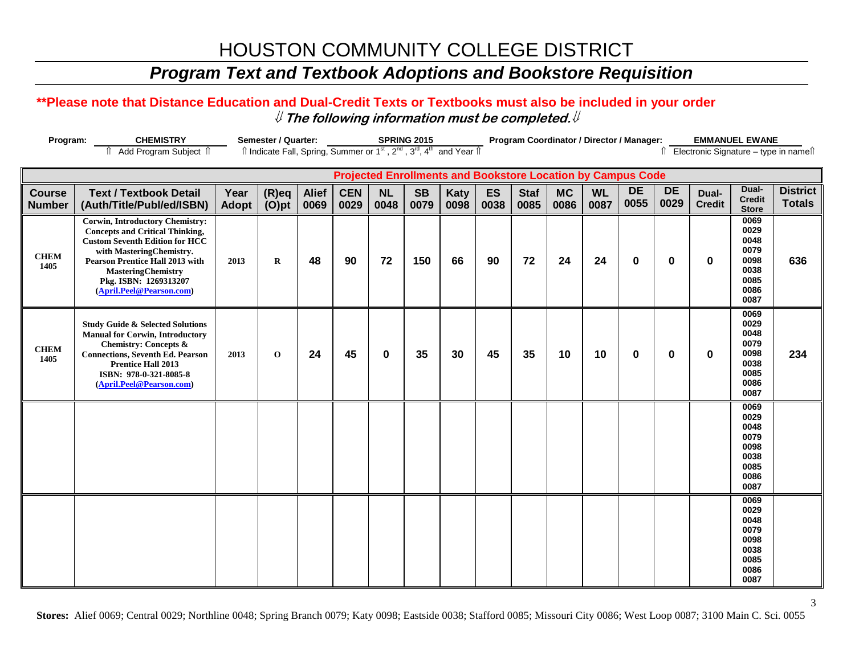## *Program Text and Textbook Adoptions and Bookstore Requisition*

### **\*\*Please note that Distance Education and Dual-Credit Texts or Textbooks must also be included in your order** ⇓ **The following information must be completed.**⇓

| Program:                       | <b>CHEMISTRY</b>                                                                                                                                                                                                                                                                  |               | Semester / Quarter:                                                                                                   |                      |                    |                   | <b>SPRING 2015</b>                                                 |              |            |                     |                   |                   | Program Coordinator / Director / Manager: |                   |                        | <b>EMMANUEL EWANE</b>                                                |                                        |
|--------------------------------|-----------------------------------------------------------------------------------------------------------------------------------------------------------------------------------------------------------------------------------------------------------------------------------|---------------|-----------------------------------------------------------------------------------------------------------------------|----------------------|--------------------|-------------------|--------------------------------------------------------------------|--------------|------------|---------------------|-------------------|-------------------|-------------------------------------------|-------------------|------------------------|----------------------------------------------------------------------|----------------------------------------|
|                                | Add Program Subject 1                                                                                                                                                                                                                                                             |               | Îl Indicate Fall, Spring, Summer or 1 <sup>st</sup> , 2 <sup>nd</sup> , 3 <sup>rd</sup> , 4 <sup>th</sup> and Year Îl |                      |                    |                   |                                                                    |              |            |                     |                   |                   |                                           |                   |                        |                                                                      | Î Electronic Signature - type in nameî |
|                                |                                                                                                                                                                                                                                                                                   |               |                                                                                                                       |                      |                    |                   | <b>Projected Enrollments and Bookstore Location by Campus Code</b> |              |            |                     |                   |                   |                                           |                   |                        |                                                                      |                                        |
| <b>Course</b><br><b>Number</b> | <b>Text / Textbook Detail</b><br>(Auth/Title/Publ/ed/ISBN)                                                                                                                                                                                                                        | Year<br>Adopt | $(R)$ eq<br>$(O)$ pt                                                                                                  | <b>Alief</b><br>0069 | <b>CEN</b><br>0029 | <b>NL</b><br>0048 | <b>SB</b><br>0079                                                  | Katy<br>0098 | ES<br>0038 | <b>Staf</b><br>0085 | <b>MC</b><br>0086 | <b>WL</b><br>0087 | <b>DE</b><br>0055                         | <b>DE</b><br>0029 | Dual-<br><b>Credit</b> | Dual-<br><b>Credit</b><br><b>Store</b>                               | <b>District</b><br><b>Totals</b>       |
| <b>CHEM</b><br>1405            | <b>Corwin, Introductory Chemistry:</b><br><b>Concepts and Critical Thinking,</b><br><b>Custom Seventh Edition for HCC</b><br>with MasteringChemistry.<br><b>Pearson Prentice Hall 2013 with</b><br><b>MasteringChemistry</b><br>Pkg. ISBN: 1269313207<br>(April.Peel@Pearson.com) | 2013          | $\bf{R}$                                                                                                              | 48                   | 90                 | 72                | 150                                                                | 66           | 90         | 72                  | 24                | 24                | $\bf{0}$                                  | $\bf{0}$          | $\bf{0}$               | 0069<br>0029<br>0048<br>0079<br>0098<br>0038<br>0085<br>0086<br>0087 | 636                                    |
| <b>CHEM</b><br>1405            | <b>Study Guide &amp; Selected Solutions</b><br><b>Manual for Corwin, Introductory</b><br><b>Chemistry: Concepts &amp;</b><br><b>Connections, Seventh Ed. Pearson</b><br><b>Prentice Hall 2013</b><br>ISBN: 978-0-321-8085-8<br>(April.Peel@Pearson.com)                           | 2013          | $\mathbf 0$                                                                                                           | 24                   | 45                 | $\bf{0}$          | 35                                                                 | 30           | 45         | 35                  | 10                | 10                | $\mathbf{0}$                              | $\bf{0}$          | $\bf{0}$               | 0069<br>0029<br>0048<br>0079<br>0098<br>0038<br>0085<br>0086<br>0087 | 234                                    |
|                                |                                                                                                                                                                                                                                                                                   |               |                                                                                                                       |                      |                    |                   |                                                                    |              |            |                     |                   |                   |                                           |                   |                        | 0069<br>0029<br>0048<br>0079<br>0098<br>0038<br>0085<br>0086<br>0087 |                                        |
|                                |                                                                                                                                                                                                                                                                                   |               |                                                                                                                       |                      |                    |                   |                                                                    |              |            |                     |                   |                   |                                           |                   |                        | 0069<br>0029<br>0048<br>0079<br>0098<br>0038<br>0085<br>0086<br>0087 |                                        |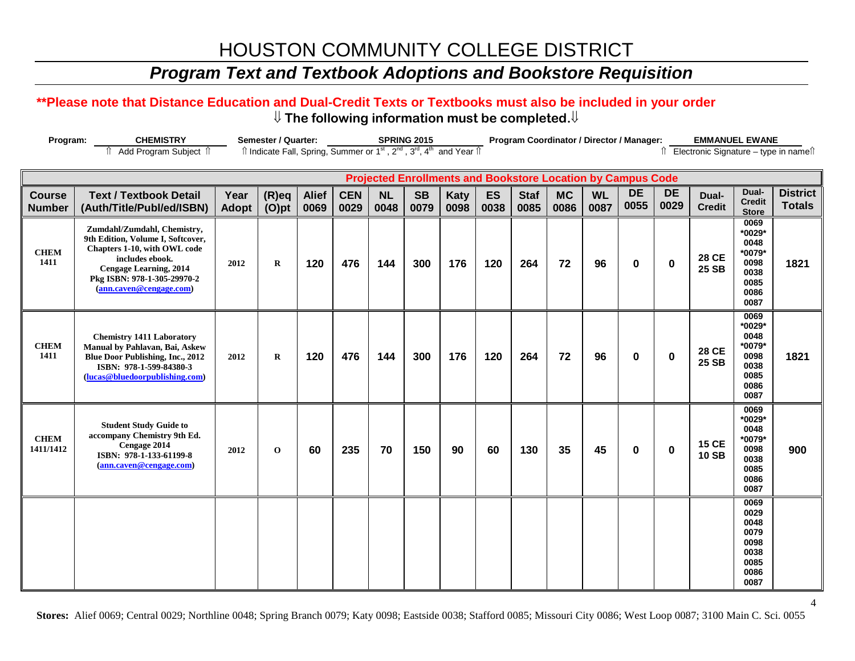## *Program Text and Textbook Adoptions and Bookstore Requisition*

#### **\*\*Please note that Distance Education and Dual-Credit Texts or Textbooks must also be included in your order** ⇓ **The following information must be completed.**⇓

| Program:                       | <b>CHEMISTRY</b>                                                                                                                                                                                               |                      | <b>Semester / Quarter:</b>                                                                                            |                      |                    |                   | <b>SPRING 2015</b> |                                                                    |            |                     | Program Coordinator / Director / Manager: |                   |                   |                   | <b>EMMANUEL EWANE</b>        |                                                                          |                                        |
|--------------------------------|----------------------------------------------------------------------------------------------------------------------------------------------------------------------------------------------------------------|----------------------|-----------------------------------------------------------------------------------------------------------------------|----------------------|--------------------|-------------------|--------------------|--------------------------------------------------------------------|------------|---------------------|-------------------------------------------|-------------------|-------------------|-------------------|------------------------------|--------------------------------------------------------------------------|----------------------------------------|
|                                | î Add Program Subject î                                                                                                                                                                                        |                      | Îl Indicate Fall, Spring, Summer or 1 <sup>st</sup> , 2 <sup>nd</sup> , 3 <sup>rd</sup> , 4 <sup>th</sup> and Year Îl |                      |                    |                   |                    |                                                                    |            |                     |                                           |                   |                   |                   |                              |                                                                          | Î Electronic Signature - type in nameî |
|                                |                                                                                                                                                                                                                |                      |                                                                                                                       |                      |                    |                   |                    | <b>Projected Enrollments and Bookstore Location by Campus Code</b> |            |                     |                                           |                   |                   |                   |                              |                                                                          |                                        |
| <b>Course</b><br><b>Number</b> | <b>Text / Textbook Detail</b><br>(Auth/Title/Publ/ed/ISBN)                                                                                                                                                     | Year<br><b>Adopt</b> | $(R)$ eq<br>$(O)$ pt                                                                                                  | <b>Alief</b><br>0069 | <b>CEN</b><br>0029 | <b>NL</b><br>0048 | <b>SB</b><br>0079  | Katy<br>0098                                                       | ES<br>0038 | <b>Staf</b><br>0085 | <b>MC</b><br>0086                         | <b>WL</b><br>0087 | <b>DE</b><br>0055 | <b>DE</b><br>0029 | Dual-<br><b>Credit</b>       | Dual-<br><b>Credit</b><br><b>Store</b>                                   | <b>District</b><br><b>Totals</b>       |
| <b>CHEM</b><br>1411            | Zumdahl/Zumdahl, Chemistry,<br>9th Edition, Volume I, Softcover,<br>Chapters 1-10, with OWL code<br>includes ebook.<br><b>Cengage Learning, 2014</b><br>Pkg ISBN: 978-1-305-29970-2<br>(ann.caven@cengage.com) | 2012                 | $\bf R$                                                                                                               | 120                  | 476                | 144               | 300                | 176                                                                | 120        | 264                 | 72                                        | 96                | $\mathbf 0$       | 0                 | <b>28 CE</b><br>25 SB        | 0069<br>*0029*<br>0048<br>*0079*<br>0098<br>0038<br>0085<br>0086<br>0087 | 1821                                   |
| <b>CHEM</b><br>1411            | <b>Chemistry 1411 Laboratory</b><br>Manual by Pahlavan, Bai, Askew<br>Blue Door Publishing, Inc., 2012<br>ISBN: 978-1-599-84380-3<br>(lucas@bluedoorpublishing.com)                                            | 2012                 | $\bf R$                                                                                                               | 120                  | 476                | 144               | 300                | 176                                                                | 120        | 264                 | 72                                        | 96                | $\mathbf 0$       | 0                 | <b>28 CE</b><br>25 SB        | 0069<br>*0029*<br>0048<br>*0079*<br>0098<br>0038<br>0085<br>0086<br>0087 | 1821                                   |
| <b>CHEM</b><br>1411/1412       | <b>Student Study Guide to</b><br>accompany Chemistry 9th Ed.<br>Cengage 2014<br>ISBN: 978-1-133-61199-8<br>(ann.caven@cengage.com)                                                                             | 2012                 | $\mathbf 0$                                                                                                           | 60                   | 235                | 70                | 150                | 90                                                                 | 60         | 130                 | 35                                        | 45                | $\bf{0}$          | 0                 | <b>15 CE</b><br><b>10 SB</b> | 0069<br>*0029*<br>0048<br>*0079*<br>0098<br>0038<br>0085<br>0086<br>0087 | 900                                    |
|                                |                                                                                                                                                                                                                |                      |                                                                                                                       |                      |                    |                   |                    |                                                                    |            |                     |                                           |                   |                   |                   |                              | 0069<br>0029<br>0048<br>0079<br>0098<br>0038<br>0085<br>0086<br>0087     |                                        |

4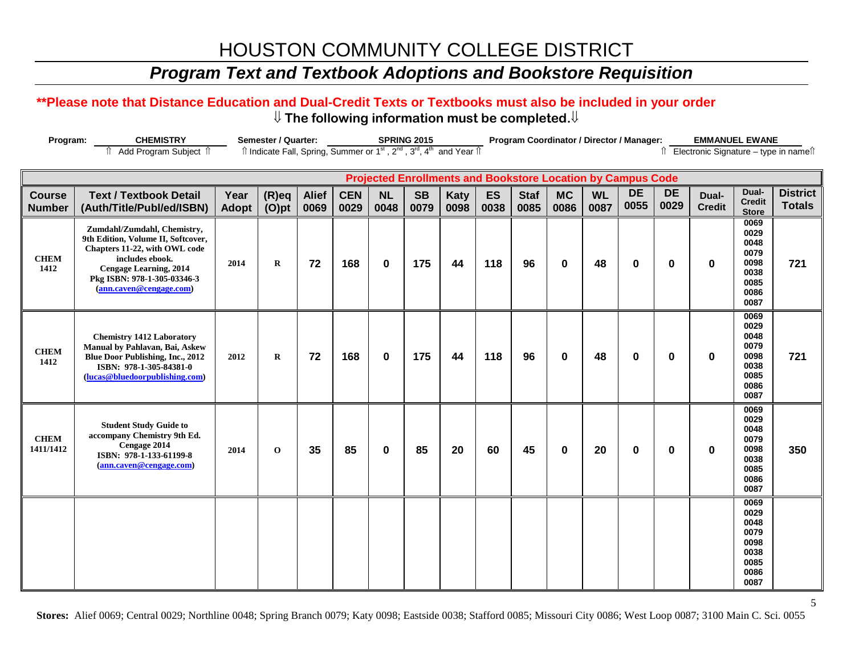## *Program Text and Textbook Adoptions and Bookstore Requisition*

#### **\*\*Please note that Distance Education and Dual-Credit Texts or Textbooks must also be included in your order** ⇓ **The following information must be completed.**⇓

| Program:                       | <b>CHEMISTRY</b>                                                                                                                                                                                                 |                      | Semester / Quarter:                                                                                                   |                      |                    |                   | <b>SPRING 2015</b> |                                                                    |                   |                     | Program Coordinator / Director / Manager: |                   |                   |                   | <b>EMMANUEL EWANE</b>                   |                                                                      |                                  |
|--------------------------------|------------------------------------------------------------------------------------------------------------------------------------------------------------------------------------------------------------------|----------------------|-----------------------------------------------------------------------------------------------------------------------|----------------------|--------------------|-------------------|--------------------|--------------------------------------------------------------------|-------------------|---------------------|-------------------------------------------|-------------------|-------------------|-------------------|-----------------------------------------|----------------------------------------------------------------------|----------------------------------|
|                                | fî Add Program Subject fî                                                                                                                                                                                        |                      | Îl Indicate Fall, Spring, Summer or 1 <sup>st</sup> , 2 <sup>nd</sup> , 3 <sup>rd</sup> , 4 <sup>th</sup> and Year Îl |                      |                    |                   |                    |                                                                    |                   |                     |                                           |                   |                   |                   | îl Electronic Signature - type in nameî |                                                                      |                                  |
|                                |                                                                                                                                                                                                                  |                      |                                                                                                                       |                      |                    |                   |                    | <b>Projected Enrollments and Bookstore Location by Campus Code</b> |                   |                     |                                           |                   |                   |                   |                                         |                                                                      |                                  |
| <b>Course</b><br><b>Number</b> | <b>Text / Textbook Detail</b><br>(Auth/Title/Publ/ed/ISBN)                                                                                                                                                       | Year<br><b>Adopt</b> | $(R)$ eq<br>$(O)$ pt                                                                                                  | <b>Alief</b><br>0069 | <b>CEN</b><br>0029 | <b>NL</b><br>0048 | <b>SB</b><br>0079  | <b>Katy</b><br>0098                                                | <b>ES</b><br>0038 | <b>Staf</b><br>0085 | <b>MC</b><br>0086                         | <b>WL</b><br>0087 | <b>DE</b><br>0055 | <b>DE</b><br>0029 | Dual-<br><b>Credit</b>                  | Dual-<br><b>Credit</b><br><b>Store</b>                               | <b>District</b><br><b>Totals</b> |
| <b>CHEM</b><br>1412            | Zumdahl/Zumdahl, Chemistry,<br>9th Edition, Volume II, Softcover,<br>Chapters 11-22, with OWL code<br>includes ebook.<br><b>Cengage Learning, 2014</b><br>Pkg ISBN: 978-1-305-03346-3<br>(ann.caven@cengage.com) | 2014                 | $\bf{R}$                                                                                                              | 72                   | 168                | $\mathbf{0}$      | 175                | 44                                                                 | 118               | 96                  | $\bf{0}$                                  | 48                | $\bf{0}$          | 0                 | $\bf{0}$                                | 0069<br>0029<br>0048<br>0079<br>0098<br>0038<br>0085<br>0086<br>0087 | 721                              |
| <b>CHEM</b><br>1412            | <b>Chemistry 1412 Laboratory</b><br>Manual by Pahlavan, Bai, Askew<br>Blue Door Publishing, Inc., 2012<br>ISBN: 978-1-305-84381-0<br>(lucas@bluedoorpublishing.com)                                              | 2012                 | $\bf{R}$                                                                                                              | 72                   | 168                | $\bf{0}$          | 175                | 44                                                                 | 118               | 96                  | $\bf{0}$                                  | 48                | $\bf{0}$          | 0                 | $\bf{0}$                                | 0069<br>0029<br>0048<br>0079<br>0098<br>0038<br>0085<br>0086<br>0087 | 721                              |
| <b>CHEM</b><br>1411/1412       | <b>Student Study Guide to</b><br>accompany Chemistry 9th Ed.<br>Cengage 2014<br>ISBN: 978-1-133-61199-8<br>(ann.caven@cengage.com)                                                                               | 2014                 | $\mathbf 0$                                                                                                           | 35                   | 85                 | $\bf{0}$          | 85                 | 20                                                                 | 60                | 45                  | $\bf{0}$                                  | 20                | $\bf{0}$          | 0                 | $\bf{0}$                                | 0069<br>0029<br>0048<br>0079<br>0098<br>0038<br>0085<br>0086<br>0087 | 350                              |
|                                |                                                                                                                                                                                                                  |                      |                                                                                                                       |                      |                    |                   |                    |                                                                    |                   |                     |                                           |                   |                   |                   |                                         | 0069<br>0029<br>0048<br>0079<br>0098<br>0038<br>0085<br>0086<br>0087 |                                  |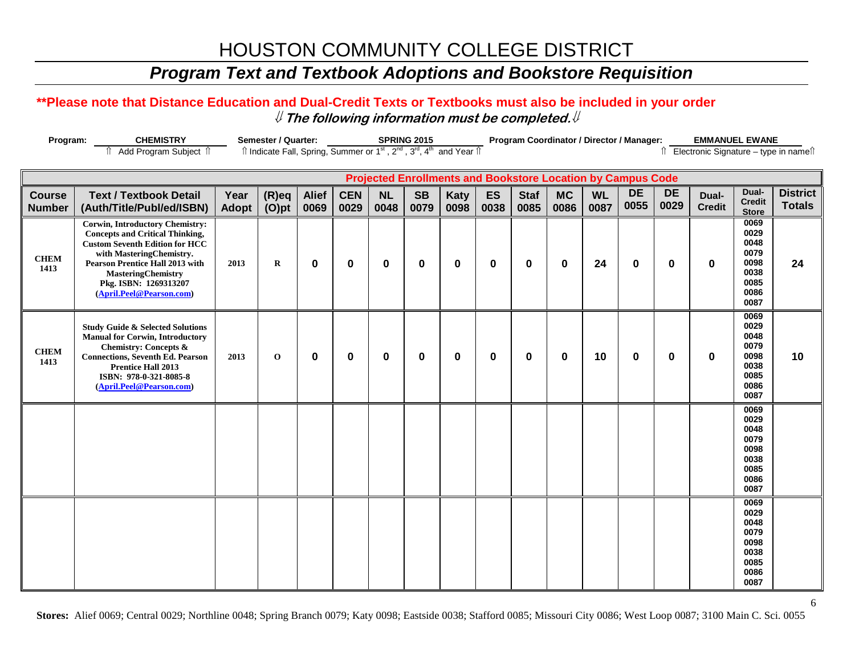## *Program Text and Textbook Adoptions and Bookstore Requisition*

### **\*\*Please note that Distance Education and Dual-Credit Texts or Textbooks must also be included in your order** ⇓ **The following information must be completed.**⇓

| Program:                       | <b>CHEMISTRY</b>                                                                                                                                                                                                                                                                  |               | Semester / Quarter:                                                                                                   |                      |                    |                   | <b>SPRING 2015</b> |              |            |                     | Program Coordinator / Director / Manager:                          |                   |                   |                   | <b>EMMANUEL EWANE</b>  |                                                                      |                                        |
|--------------------------------|-----------------------------------------------------------------------------------------------------------------------------------------------------------------------------------------------------------------------------------------------------------------------------------|---------------|-----------------------------------------------------------------------------------------------------------------------|----------------------|--------------------|-------------------|--------------------|--------------|------------|---------------------|--------------------------------------------------------------------|-------------------|-------------------|-------------------|------------------------|----------------------------------------------------------------------|----------------------------------------|
|                                | Add Program Subject 1                                                                                                                                                                                                                                                             |               | Îl Indicate Fall, Spring, Summer or 1 <sup>st</sup> , 2 <sup>nd</sup> , 3 <sup>rd</sup> , 4 <sup>th</sup> and Year Îl |                      |                    |                   |                    |              |            |                     |                                                                    |                   |                   |                   |                        |                                                                      | Î Electronic Signature - type in nameî |
|                                |                                                                                                                                                                                                                                                                                   |               |                                                                                                                       |                      |                    |                   |                    |              |            |                     | <b>Projected Enrollments and Bookstore Location by Campus Code</b> |                   |                   |                   |                        |                                                                      |                                        |
| <b>Course</b><br><b>Number</b> | <b>Text / Textbook Detail</b><br>(Auth/Title/Publ/ed/ISBN)                                                                                                                                                                                                                        | Year<br>Adopt | $(R)$ eq<br>$(O)$ pt                                                                                                  | <b>Alief</b><br>0069 | <b>CEN</b><br>0029 | <b>NL</b><br>0048 | <b>SB</b><br>0079  | Katy<br>0098 | ES<br>0038 | <b>Staf</b><br>0085 | <b>MC</b><br>0086                                                  | <b>WL</b><br>0087 | <b>DE</b><br>0055 | <b>DE</b><br>0029 | Dual-<br><b>Credit</b> | Dual-<br><b>Credit</b><br><b>Store</b>                               | <b>District</b><br><b>Totals</b>       |
| <b>CHEM</b><br>1413            | <b>Corwin, Introductory Chemistry:</b><br><b>Concepts and Critical Thinking,</b><br><b>Custom Seventh Edition for HCC</b><br>with MasteringChemistry.<br><b>Pearson Prentice Hall 2013 with</b><br><b>MasteringChemistry</b><br>Pkg. ISBN: 1269313207<br>(April.Peel@Pearson.com) | 2013          | $\bf{R}$                                                                                                              | 0                    | $\boldsymbol{0}$   | 0                 | 0                  | $\mathbf 0$  | 0          | 0                   | $\mathbf 0$                                                        | 24                | $\bf{0}$          | 0                 | 0                      | 0069<br>0029<br>0048<br>0079<br>0098<br>0038<br>0085<br>0086<br>0087 | 24                                     |
| <b>CHEM</b><br>1413            | <b>Study Guide &amp; Selected Solutions</b><br><b>Manual for Corwin, Introductory</b><br><b>Chemistry: Concepts &amp;</b><br><b>Connections, Seventh Ed. Pearson</b><br><b>Prentice Hall 2013</b><br>ISBN: 978-0-321-8085-8<br>(April.Peel@Pearson.com)                           | 2013          | $\bf{0}$                                                                                                              | $\bf{0}$             | $\mathbf 0$        | 0                 | $\bf{0}$           | $\mathbf 0$  | 0          | $\bf{0}$            | $\mathbf 0$                                                        | 10                | $\bf{0}$          | $\mathbf 0$       | 0                      | 0069<br>0029<br>0048<br>0079<br>0098<br>0038<br>0085<br>0086<br>0087 | 10                                     |
|                                |                                                                                                                                                                                                                                                                                   |               |                                                                                                                       |                      |                    |                   |                    |              |            |                     |                                                                    |                   |                   |                   |                        | 0069<br>0029<br>0048<br>0079<br>0098<br>0038<br>0085<br>0086<br>0087 |                                        |
|                                |                                                                                                                                                                                                                                                                                   |               |                                                                                                                       |                      |                    |                   |                    |              |            |                     |                                                                    |                   |                   |                   |                        | 0069<br>0029<br>0048<br>0079<br>0098<br>0038<br>0085<br>0086<br>0087 |                                        |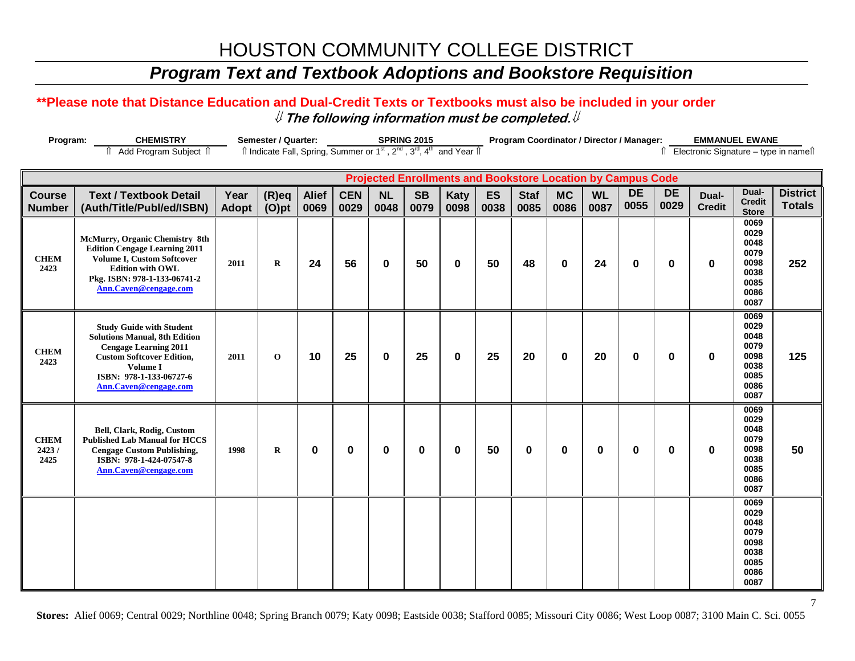## *Program Text and Textbook Adoptions and Bookstore Requisition*

### **\*\*Please note that Distance Education and Dual-Credit Texts or Textbooks must also be included in your order** ⇓ **The following information must be completed.**⇓

| Program:                     | Semester / Quarter:<br><b>SPRING 2015</b><br>Îl Indicate Fall, Spring, Summer or 1 <sup>st</sup> , 2 <sup>nd</sup> , 3 <sup>rd</sup> , 4 <sup>th</sup> and Year Îl<br>î Add Program Subject î                      |       |             |              |            |           |           | <b>EMMANUEL EWANE</b><br>Program Coordinator / Director / Manager: |      |             |              |           |                                                                    |                                          |               |                                                                      |                 |
|------------------------------|--------------------------------------------------------------------------------------------------------------------------------------------------------------------------------------------------------------------|-------|-------------|--------------|------------|-----------|-----------|--------------------------------------------------------------------|------|-------------|--------------|-----------|--------------------------------------------------------------------|------------------------------------------|---------------|----------------------------------------------------------------------|-----------------|
|                              |                                                                                                                                                                                                                    |       |             |              |            |           |           |                                                                    |      |             |              |           |                                                                    | îl Electronic Signature - type in nameîl |               |                                                                      |                 |
|                              |                                                                                                                                                                                                                    |       |             |              |            |           |           |                                                                    |      |             |              |           |                                                                    |                                          |               |                                                                      |                 |
|                              |                                                                                                                                                                                                                    |       |             |              |            |           |           |                                                                    |      |             |              |           | <b>Projected Enrollments and Bookstore Location by Campus Code</b> |                                          |               |                                                                      |                 |
| <b>Course</b>                | <b>Text / Textbook Detail</b>                                                                                                                                                                                      | Year  | $(R)$ eq    | <b>Alief</b> | <b>CEN</b> | <b>NL</b> | <b>SB</b> | <b>Katy</b>                                                        | ES   | <b>Staf</b> | <b>MC</b>    | <b>WL</b> | <b>DE</b>                                                          | <b>DE</b>                                | Dual-         | Dual-<br><b>Credit</b>                                               | <b>District</b> |
| <b>Number</b>                | (Auth/Title/Publ/ed/ISBN)                                                                                                                                                                                          | Adopt | $(O)$ pt    | 0069         | 0029       | 0048      | 0079      | 0098                                                               | 0038 | 0085        | 0086         | 0087      | 0055                                                               | 0029                                     | <b>Credit</b> | <b>Store</b>                                                         | <b>Totals</b>   |
| <b>CHEM</b><br>2423          | McMurry, Organic Chemistry 8th<br><b>Edition Cengage Learning 2011</b><br>Volume I, Custom Softcover<br><b>Edition with OWL</b><br>Pkg. ISBN: 978-1-133-06741-2<br>Ann.Caven@cengage.com                           | 2011  | $\mathbf R$ | 24           | 56         | 0         | 50        | $\mathbf 0$                                                        | 50   | 48          | $\mathbf{0}$ | 24        | $\bf{0}$                                                           | $\bf{0}$                                 | $\bf{0}$      | 0069<br>0029<br>0048<br>0079<br>0098<br>0038<br>0085<br>0086<br>0087 | 252             |
| <b>CHEM</b><br>2423          | <b>Study Guide with Student</b><br><b>Solutions Manual, 8th Edition</b><br><b>Cengage Learning 2011</b><br><b>Custom Softcover Edition,</b><br>Volume I<br>ISBN: 978-1-133-06727-6<br><b>Ann.Caven@cengage.com</b> | 2011  | $\mathbf 0$ | 10           | 25         | $\bf{0}$  | 25        | $\mathbf 0$                                                        | 25   | 20          | $\mathbf{0}$ | 20        | $\bf{0}$                                                           | $\bf{0}$                                 | $\bf{0}$      | 0069<br>0029<br>0048<br>0079<br>0098<br>0038<br>0085<br>0086<br>0087 | 125             |
| <b>CHEM</b><br>2423/<br>2425 | Bell, Clark, Rodig, Custom<br><b>Published Lab Manual for HCCS</b><br><b>Cengage Custom Publishing,</b><br>ISBN: 978-1-424-07547-8<br>Ann.Caven@cengage.com                                                        | 1998  | $\bf R$     | 0            | $\bf{0}$   | 0         | $\bf{0}$  | $\mathbf 0$                                                        | 50   | $\bf{0}$    | 0            | 0         | 0                                                                  | 0                                        | $\mathbf 0$   | 0069<br>0029<br>0048<br>0079<br>0098<br>0038<br>0085<br>0086<br>0087 | 50              |
|                              |                                                                                                                                                                                                                    |       |             |              |            |           |           |                                                                    |      |             |              |           |                                                                    |                                          |               | 0069<br>0029<br>0048<br>0079<br>0098<br>0038<br>0085<br>0086<br>0087 |                 |